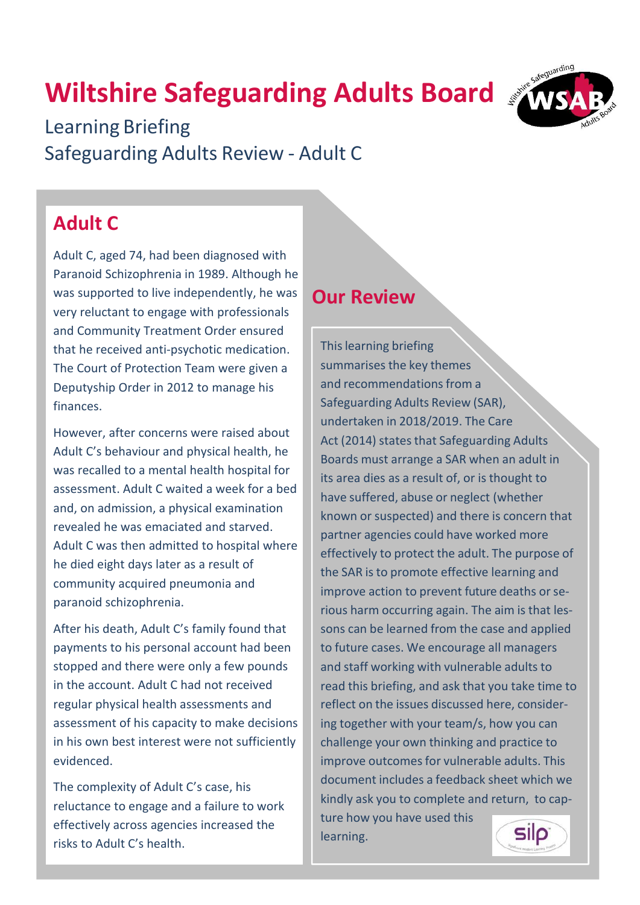# **Wiltshire Safeguarding Adults Board**



Learning Briefing Safeguarding Adults Review - Adult C

### **Adult C**

Adult C, aged 74, had been diagnosed with Paranoid Schizophrenia in 1989. Although he was supported to live independently, he was very reluctant to engage with professionals and Community Treatment Order ensured that he received anti-psychotic medication. The Court of Protection Team were given a Deputyship Order in 2012 to manage his finances.

However, after concerns were raised about Adult C's behaviour and physical health, he was recalled to a mental health hospital for assessment. Adult C waited a week for a bed and, on admission, a physical examination revealed he was emaciated and starved. Adult C was then admitted to hospital where he died eight days later as a result of community acquired pneumonia and paranoid schizophrenia.

After his death, Adult C's family found that payments to his personal account had been stopped and there were only a few pounds in the account. Adult C had not received regular physical health assessments and assessment of his capacity to make decisions in his own best interest were not sufficiently evidenced.

The complexity of Adult C's case, his reluctance to engage and a failure to work effectively across agencies increased the risks to Adult C's health.

#### **Our Review**

Thislearning briefing summarises the key themes and recommendations from a Safeguarding Adults Review (SAR), undertaken in 2018/2019. The Care Act (2014) states that Safeguarding Adults Boards must arrange a SAR when an adult in its area dies as a result of, or is thought to have suffered, abuse or neglect (whether known or suspected) and there is concern that partner agencies could have worked more effectively to protect the adult. The purpose of the SAR is to promote effective learning and improve action to prevent future deaths or serious harm occurring again. The aim is that lessons can be learned from the case and applied to future cases. We encourage all managers and staff working with vulnerable adults to read this briefing, and ask that you take time to reflect on the issues discussed here, considering together with your team/s, how you can challenge your own thinking and practice to improve outcomes for vulnerable adults. This document includes a feedback sheet which we kindly ask you to complete and return, to cap-

ture how you have used this learning.

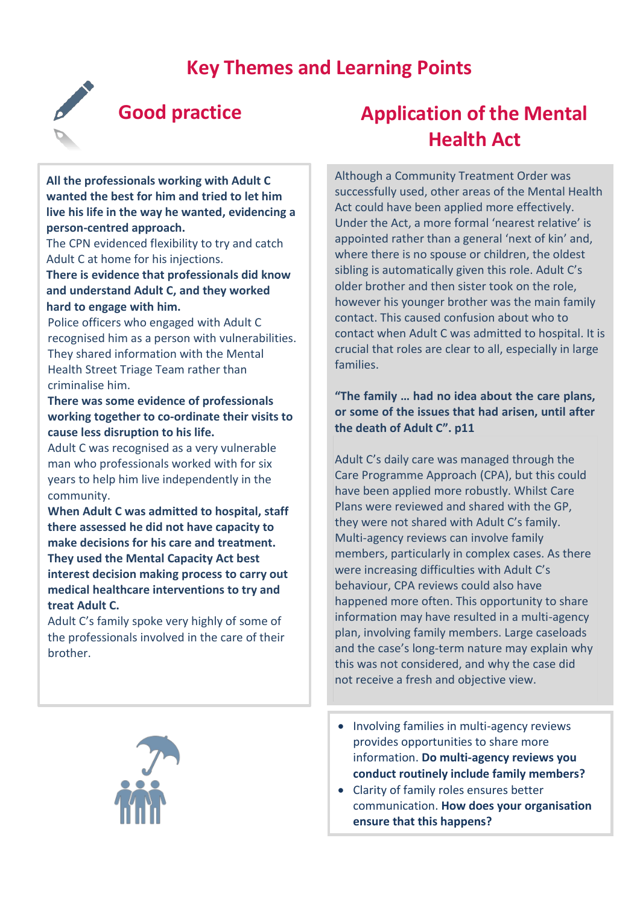#### **Key Themes and Learning Points**



#### **Good practice**

**All the professionals working with Adult C wanted the best for him and tried to let him live his life in the way he wanted, evidencing a person-centred approach.**

The CPN evidenced flexibility to try and catch Adult C at home for his injections.

#### **There is evidence that professionals did know and understand Adult C, and they worked hard to engage with him.**

Police officers who engaged with Adult C recognised him as a person with vulnerabilities. They shared information with the Mental Health Street Triage Team rather than criminalise him.

#### **There was some evidence of professionals working together to co-ordinate their visits to cause less disruption to his life.**

Adult C was recognised as a very vulnerable man who professionals worked with for six years to help him live independently in the community.

**When Adult C was admitted to hospital, staff there assessed he did not have capacity to make decisions for his care and treatment. They used the Mental Capacity Act best interest decision making process to carry out medical healthcare interventions to try and treat Adult C.**

Adult C's family spoke very highly of some of the professionals involved in the care of their brother.



### **Application of the Mental Health Act**

Although a Community Treatment Order was successfully used, other areas of the Mental Health Act could have been applied more effectively. Under the Act, a more formal 'nearest relative' is appointed rather than a general 'next of kin' and, where there is no spouse or children, the oldest sibling is automatically given this role. Adult C's older brother and then sister took on the role, however his younger brother was the main family contact. This caused confusion about who to contact when Adult C was admitted to hospital. It is crucial that roles are clear to all, especially in large families.

#### **"The family … had no idea about the care plans, or some of the issues that had arisen, until after the death of Adult C". p11**

Adult C's daily care was managed through the Care Programme Approach (CPA), but this could have been applied more robustly. Whilst Care Plans were reviewed and shared with the GP, they were not shared with Adult C's family. Multi-agency reviews can involve family members, particularly in complex cases. As there were increasing difficulties with Adult C's behaviour, CPA reviews could also have happened more often. This opportunity to share information may have resulted in a multi-agency plan, involving family members. Large caseloads and the case's long-term nature may explain why this was not considered, and why the case did not receive a fresh and objective view.

- Involving families in multi-agency reviews provides opportunities to share more information. **Do multi-agency reviews you conduct routinely include family members?**
- Clarity of family roles ensures better communication. **How does your organisation ensure that this happens?**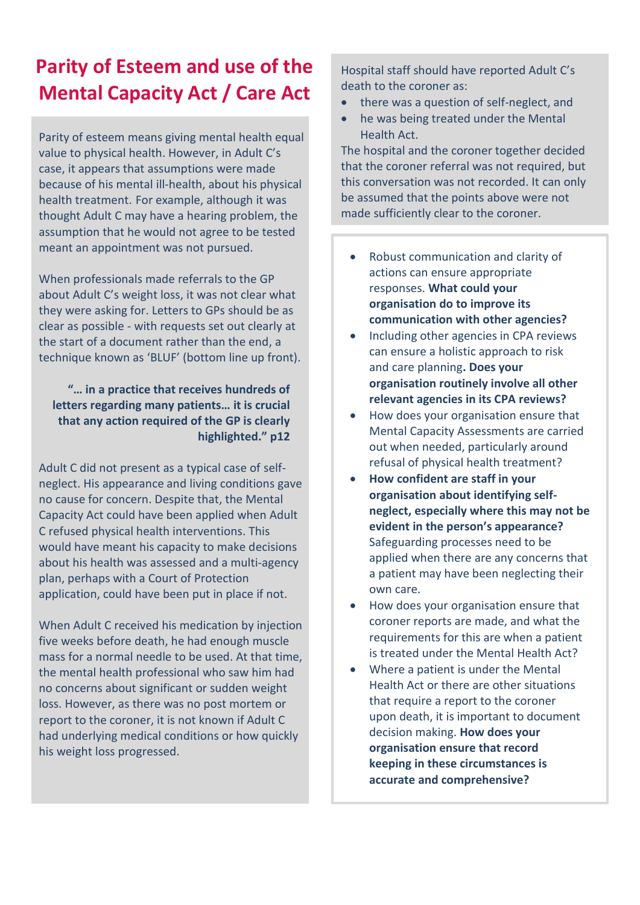### **Parity of Esteem and use of the Mental Capacity Act / Care Act**

Parity of esteem means giving mental health equal value to physical health. However, in Adult C's case, it appears that assumptions were made because of his mental ill-health, about his physical health treatment. For example, although it was thought Adult C may have a hearing problem, the assumption that he would not agree to be tested meant an appointment was not pursued.

When professionals made referrals to the GP about Adult C's weight loss, it was not clear what they were asking for. Letters to GPs should be as clear as possible - with requests set out clearly at the start of a document rather than the end, a technique known as 'BLUF' (bottom line up front).

#### **"… in a practice that receives hundreds of letters regarding many patients… it is crucial that any action required of the GP is clearly highlighted." p12**

Adult C did not present as a typical case of selfneglect. His appearance and living conditions gave no cause for concern. Despite that, the Mental Capacity Act could have been applied when Adult C refused physical health interventions. This would have meant his capacity to make decisions about his health was assessed and a multi-agency plan, perhaps with a Court of Protection application, could have been put in place if not.

When Adult C received his medication by injection five weeks before death, he had enough muscle mass for a normal needle to be used. At that time, the mental health professional who saw him had no concerns about significant or sudden weight loss. However, as there was no post mortem or report to the coroner, it is not known if Adult C had underlying medical conditions or how quickly his weight loss progressed.

Hospital staff should have reported Adult C's death to the coroner as:

- there was a question of self-neglect, and
- he was being treated under the Mental Health Act.

The hospital and the coroner together decided that the coroner referral was not required, but this conversation was not recorded. It can only be assumed that the points above were not made sufficiently clear to the coroner.

- Robust communication and clarity of actions can ensure appropriate responses. **What could your organisation do to improve its communication with other agencies?**
- Including other agencies in CPA reviews can ensure a holistic approach to risk and care planning**. Does your organisation routinely involve all other relevant agencies in its CPA reviews?**
- How does your organisation ensure that Mental Capacity Assessments are carried out when needed, particularly around refusal of physical health treatment?
- **How confident are staff in your organisation about identifying selfneglect, especially where this may not be evident in the person's appearance?** Safeguarding processes need to be applied when there are any concerns that a patient may have been neglecting their own care.
- How does your organisation ensure that coroner reports are made, and what the requirements for this are when a patient is treated under the Mental Health Act?
- Where a patient is under the Mental Health Act or there are other situations that require a report to the coroner upon death, it is important to document decision making. **How does your organisation ensure that record keeping in these circumstances is accurate and comprehensive?**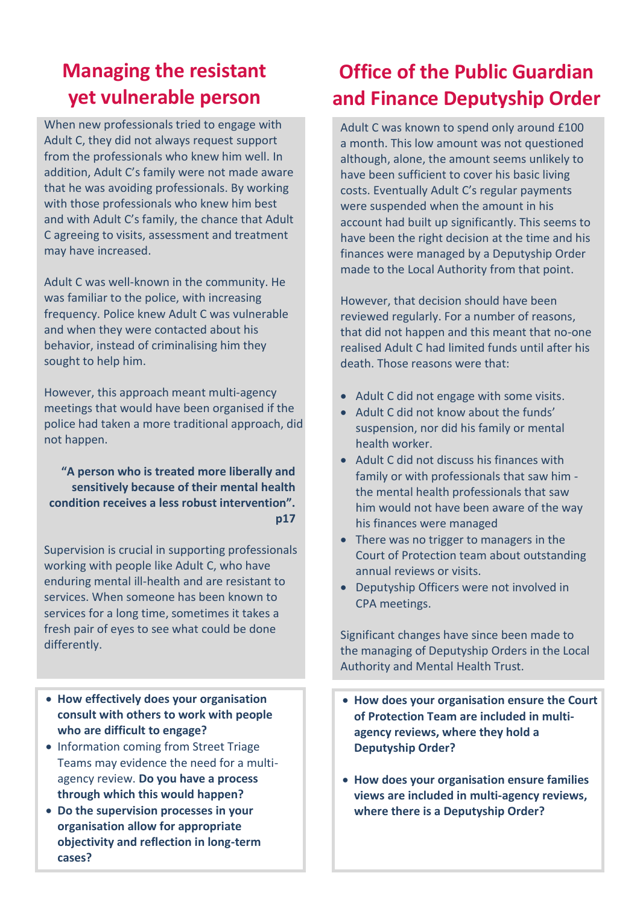### **Managing the resistant yet vulnerable person**

When new professionals tried to engage with Adult C, they did not always request support from the professionals who knew him well. In addition, Adult C's family were not made aware that he was avoiding professionals. By working with those professionals who knew him best and with Adult C's family, the chance that Adult C agreeing to visits, assessment and treatment may have increased.

Adult C was well-known in the community. He was familiar to the police, with increasing frequency. Police knew Adult C was vulnerable and when they were contacted about his behavior, instead of criminalising him they sought to help him.

However, this approach meant multi-agency meetings that would have been organised if the police had taken a more traditional approach, did not happen.

**"A person who is treated more liberally and sensitively because of their mental health condition receives a less robust intervention". p17**

Supervision is crucial in supporting professionals working with people like Adult C, who have enduring mental ill-health and are resistant to services. When someone has been known to services for a long time, sometimes it takes a fresh pair of eyes to see what could be done differently.

- **How effectively does your organisation consult with others to work with people who are difficult to engage?**
- Information coming from Street Triage Teams may evidence the need for a multiagency review. **Do you have a process through which this would happen?**
- **Do the supervision processes in your organisation allow for appropriate objectivity and reflection in long-term cases?**

#### **Office of the Public Guardian and Finance Deputyship Order**

Adult C was known to spend only around £100 a month. This low amount was not questioned although, alone, the amount seems unlikely to have been sufficient to cover his basic living costs. Eventually Adult C's regular payments were suspended when the amount in his account had built up significantly. This seems to have been the right decision at the time and his finances were managed by a Deputyship Order made to the Local Authority from that point.

However, that decision should have been reviewed regularly. For a number of reasons, that did not happen and this meant that no-one realised Adult C had limited funds until after his death. Those reasons were that:

- Adult C did not engage with some visits.
- Adult C did not know about the funds' suspension, nor did his family or mental health worker.
- Adult C did not discuss his finances with family or with professionals that saw him the mental health professionals that saw him would not have been aware of the way his finances were managed
- There was no trigger to managers in the Court of Protection team about outstanding annual reviews or visits.
- Deputyship Officers were not involved in CPA meetings.

Significant changes have since been made to the managing of Deputyship Orders in the Local Authority and Mental Health Trust.

- **How does your organisation ensure the Court of Protection Team are included in multiagency reviews, where they hold a Deputyship Order?**
- **How does your organisation ensure families views are included in multi-agency reviews, where there is a Deputyship Order?**